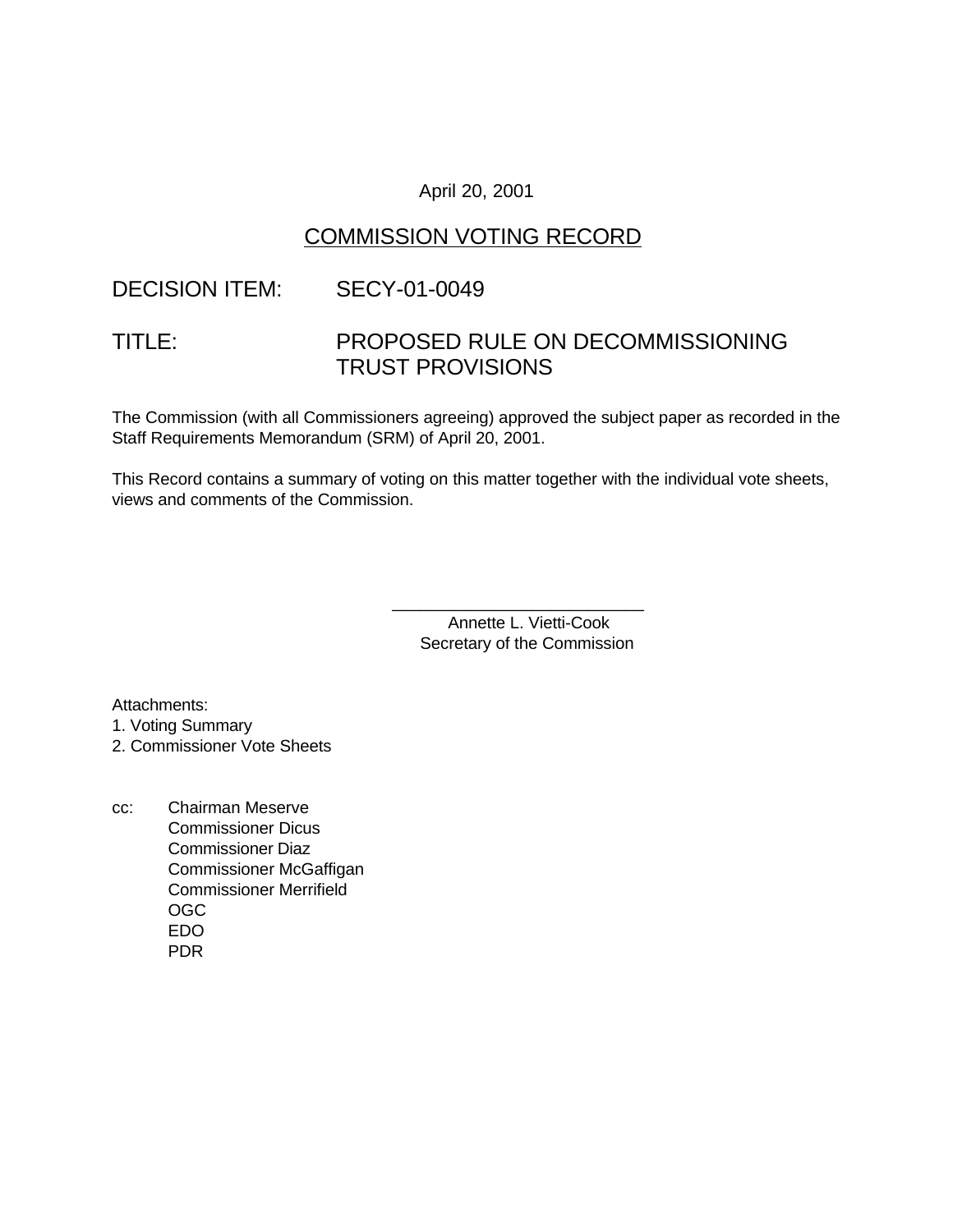### April 20, 2001

## COMMISSION VOTING RECORD

## DECISION ITEM: SECY-01-0049

# TITLE: PROPOSED RULE ON DECOMMISSIONING TRUST PROVISIONS

The Commission (with all Commissioners agreeing) approved the subject paper as recorded in the Staff Requirements Memorandum (SRM) of April 20, 2001.

This Record contains a summary of voting on this matter together with the individual vote sheets, views and comments of the Commission.

> Annette L. Vietti-Cook Secretary of the Commission

\_\_\_\_\_\_\_\_\_\_\_\_\_\_\_\_\_\_\_\_\_\_\_\_\_\_\_

Attachments:

1. Voting Summary

2. Commissioner Vote Sheets

cc: Chairman Meserve Commissioner Dicus Commissioner Diaz Commissioner McGaffigan Commissioner Merrifield OGC EDO PDR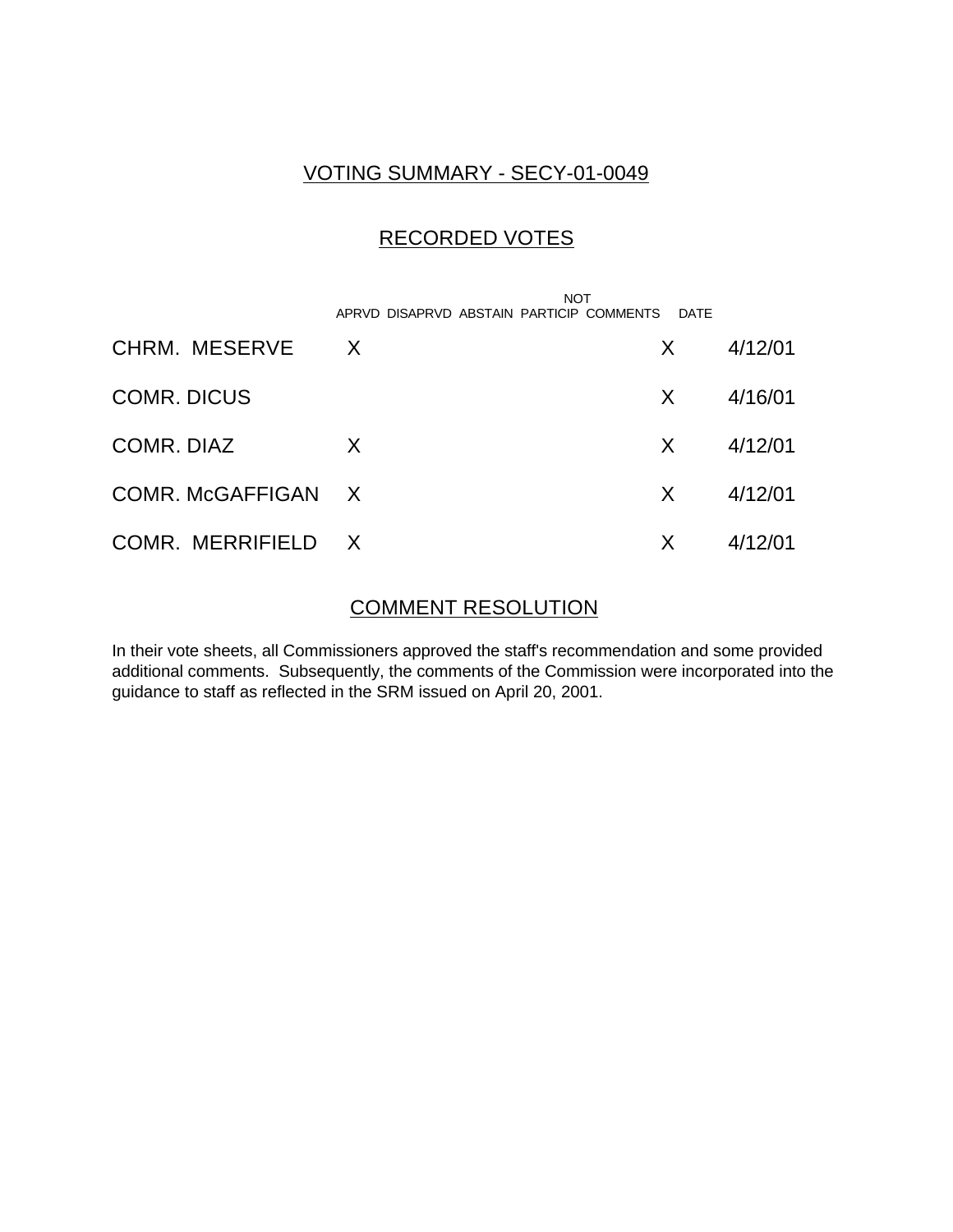## VOTING SUMMARY - SECY-01-0049

## RECORDED VOTES

|                    | <b>NOT</b><br>APRVD DISAPRVD ABSTAIN PARTICIP COMMENTS | DATE         |         |
|--------------------|--------------------------------------------------------|--------------|---------|
| CHRM. MESERVE      | $\mathsf{X}$                                           | X            | 4/12/01 |
| <b>COMR. DICUS</b> |                                                        | X.           | 4/16/01 |
| COMR, DIAZ         | X                                                      | X.           | 4/12/01 |
| COMR. McGAFFIGAN X |                                                        | $\mathsf{X}$ | 4/12/01 |
| COMR. MERRIFIELD X |                                                        | X            | 4/12/01 |

### COMMENT RESOLUTION

In their vote sheets, all Commissioners approved the staff's recommendation and some provided additional comments. Subsequently, the comments of the Commission were incorporated into the guidance to staff as reflected in the SRM issued on April 20, 2001.